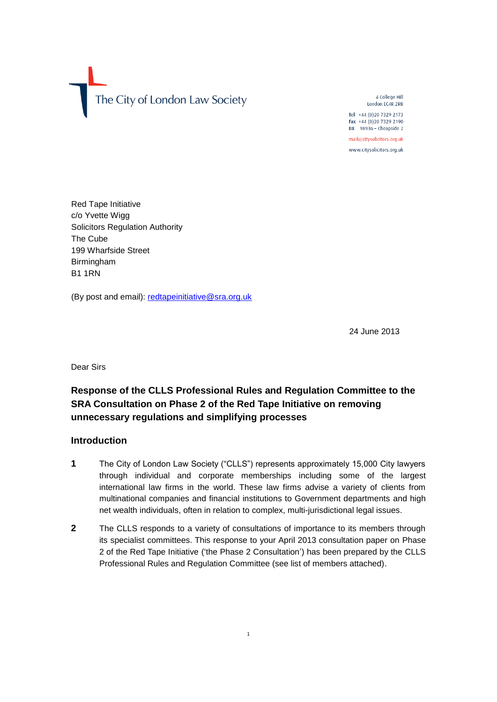The City of London Law Society

4 College Hill London EC4R 2RB Tel +44 (0)20 7329 2173

Fax +44 (0)20 7329 2190 DX 98936 - Cheapside 2 mail@citysolicitors.org.uk

www.citysolicitors.org.uk

Red Tape Initiative c/o Yvette Wigg Solicitors Regulation Authority The Cube 199 Wharfside Street Birmingham B1 1RN

(By post and email): [redtapeinitiative@sra.org.uk](mailto:redtapeinitiative@sra.org.uk)

24 June 2013

Dear Sirs

# **Response of the CLLS Professional Rules and Regulation Committee to the SRA Consultation on Phase 2 of the Red Tape Initiative on removing unnecessary regulations and simplifying processes**

# **Introduction**

- **1** The City of London Law Society ("CLLS") represents approximately 15,000 City lawyers through individual and corporate memberships including some of the largest international law firms in the world. These law firms advise a variety of clients from multinational companies and financial institutions to Government departments and high net wealth individuals, often in relation to complex, multi-jurisdictional legal issues.
- **2** The CLLS responds to a variety of consultations of importance to its members through its specialist committees. This response to your April 2013 consultation paper on Phase 2 of the Red Tape Initiative ('the Phase 2 Consultation') has been prepared by the CLLS Professional Rules and Regulation Committee (see list of members attached).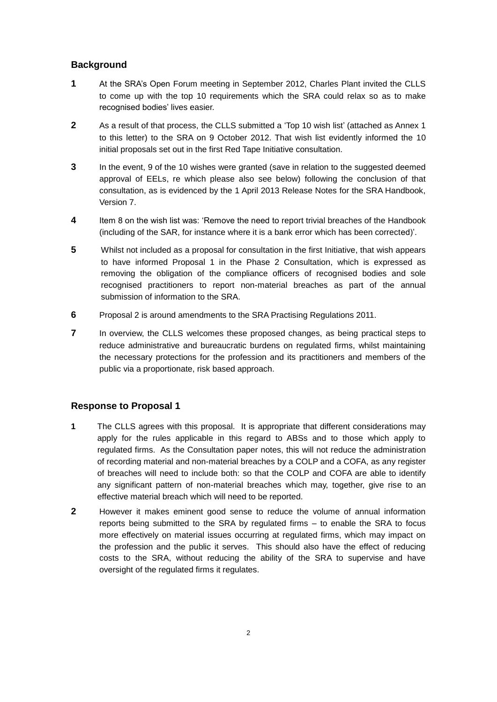# **Background**

- **1** At the SRA's Open Forum meeting in September 2012, Charles Plant invited the CLLS to come up with the top 10 requirements which the SRA could relax so as to make recognised bodies' lives easier.
- **2** As a result of that process, the CLLS submitted a 'Top 10 wish list' (attached as Annex 1 to this letter) to the SRA on 9 October 2012. That wish list evidently informed the 10 initial proposals set out in the first Red Tape Initiative consultation.
- **3** In the event, 9 of the 10 wishes were granted (save in relation to the suggested deemed approval of EELs, re which please also see below) following the conclusion of that consultation, as is evidenced by the 1 April 2013 Release Notes for the SRA Handbook, Version 7.
- **4** Item 8 on the wish list was: 'Remove the need to report trivial breaches of the Handbook (including of the SAR, for instance where it is a bank error which has been corrected)'.
- **5** Whilst not included as a proposal for consultation in the first Initiative, that wish appears to have informed Proposal 1 in the Phase 2 Consultation, which is expressed as removing the obligation of the compliance officers of recognised bodies and sole recognised practitioners to report non-material breaches as part of the annual submission of information to the SRA.
- **6** Proposal 2 is around amendments to the SRA Practising Regulations 2011.
- **7** In overview, the CLLS welcomes these proposed changes, as being practical steps to reduce administrative and bureaucratic burdens on regulated firms, whilst maintaining the necessary protections for the profession and its practitioners and members of the public via a proportionate, risk based approach.

# **Response to Proposal 1**

- **1** The CLLS agrees with this proposal. It is appropriate that different considerations may apply for the rules applicable in this regard to ABSs and to those which apply to regulated firms. As the Consultation paper notes, this will not reduce the administration of recording material and non-material breaches by a COLP and a COFA, as any register of breaches will need to include both: so that the COLP and COFA are able to identify any significant pattern of non-material breaches which may, together, give rise to an effective material breach which will need to be reported.
- **2** However it makes eminent good sense to reduce the volume of annual information reports being submitted to the SRA by regulated firms – to enable the SRA to focus more effectively on material issues occurring at regulated firms, which may impact on the profession and the public it serves. This should also have the effect of reducing costs to the SRA, without reducing the ability of the SRA to supervise and have oversight of the regulated firms it regulates.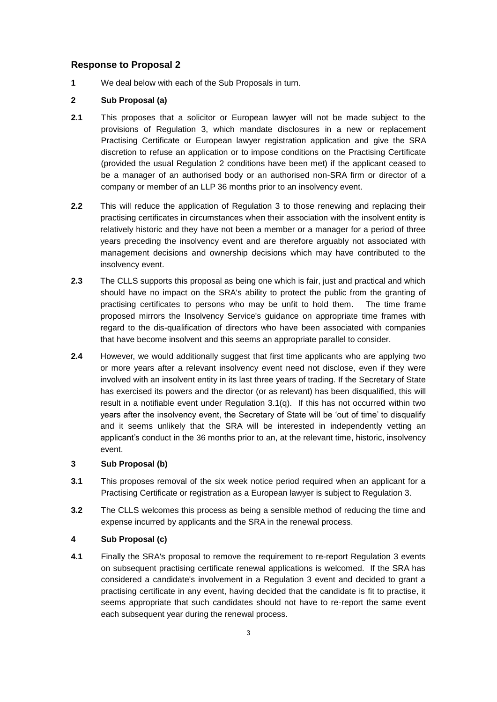### **Response to Proposal 2**

**1** We deal below with each of the Sub Proposals in turn.

### **2 Sub Proposal (a)**

- **2.1** This proposes that a solicitor or European lawyer will not be made subject to the provisions of Regulation 3, which mandate disclosures in a new or replacement Practising Certificate or European lawyer registration application and give the SRA discretion to refuse an application or to impose conditions on the Practising Certificate (provided the usual Regulation 2 conditions have been met) if the applicant ceased to be a manager of an authorised body or an authorised non-SRA firm or director of a company or member of an LLP 36 months prior to an insolvency event.
- **2.2** This will reduce the application of Regulation 3 to those renewing and replacing their practising certificates in circumstances when their association with the insolvent entity is relatively historic and they have not been a member or a manager for a period of three years preceding the insolvency event and are therefore arguably not associated with management decisions and ownership decisions which may have contributed to the insolvency event.
- **2.3** The CLLS supports this proposal as being one which is fair, just and practical and which should have no impact on the SRA's ability to protect the public from the granting of practising certificates to persons who may be unfit to hold them. The time frame proposed mirrors the Insolvency Service's guidance on appropriate time frames with regard to the dis-qualification of directors who have been associated with companies that have become insolvent and this seems an appropriate parallel to consider.
- **2.4** However, we would additionally suggest that first time applicants who are applying two or more years after a relevant insolvency event need not disclose, even if they were involved with an insolvent entity in its last three years of trading. If the Secretary of State has exercised its powers and the director (or as relevant) has been disqualified, this will result in a notifiable event under Regulation 3.1(q). If this has not occurred within two years after the insolvency event, the Secretary of State will be 'out of time' to disqualify and it seems unlikely that the SRA will be interested in independently vetting an applicant's conduct in the 36 months prior to an, at the relevant time, historic, insolvency event.

#### **3 Sub Proposal (b)**

- **3.1** This proposes removal of the six week notice period required when an applicant for a Practising Certificate or registration as a European lawyer is subject to Regulation 3.
- **3.2** The CLLS welcomes this process as being a sensible method of reducing the time and expense incurred by applicants and the SRA in the renewal process.

#### **4 Sub Proposal (c)**

**4.1** Finally the SRA's proposal to remove the requirement to re-report Regulation 3 events on subsequent practising certificate renewal applications is welcomed. If the SRA has considered a candidate's involvement in a Regulation 3 event and decided to grant a practising certificate in any event, having decided that the candidate is fit to practise, it seems appropriate that such candidates should not have to re-report the same event each subsequent year during the renewal process.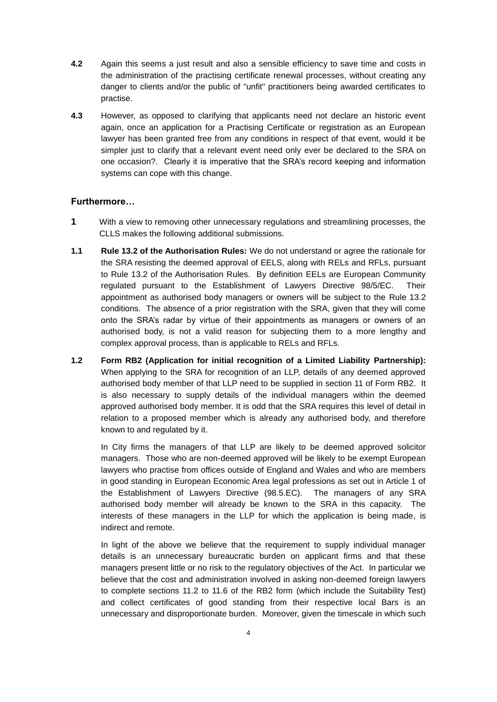- **4.2** Again this seems a just result and also a sensible efficiency to save time and costs in the administration of the practising certificate renewal processes, without creating any danger to clients and/or the public of "unfit" practitioners being awarded certificates to practise.
- **4.3** However, as opposed to clarifying that applicants need not declare an historic event again, once an application for a Practising Certificate or registration as an European lawyer has been granted free from any conditions in respect of that event, would it be simpler just to clarify that a relevant event need only ever be declared to the SRA on one occasion?. Clearly it is imperative that the SRA's record keeping and information systems can cope with this change.

### **Furthermore…**

- **1** With a view to removing other unnecessary regulations and streamlining processes, the CLLS makes the following additional submissions.
- **1.1 Rule 13.2 of the Authorisation Rules:** We do not understand or agree the rationale for the SRA resisting the deemed approval of EELS, along with RELs and RFLs, pursuant to Rule 13.2 of the Authorisation Rules. By definition EELs are European Community regulated pursuant to the Establishment of Lawyers Directive 98/5/EC. Their appointment as authorised body managers or owners will be subject to the Rule 13.2 conditions. The absence of a prior registration with the SRA, given that they will come onto the SRA's radar by virtue of their appointments as managers or owners of an authorised body, is not a valid reason for subjecting them to a more lengthy and complex approval process, than is applicable to RELs and RFLs.
- **1.2 Form RB2 (Application for initial recognition of a Limited Liability Partnership):**  When applying to the SRA for recognition of an LLP, details of any deemed approved authorised body member of that LLP need to be supplied in section 11 of Form RB2. It is also necessary to supply details of the individual managers within the deemed approved authorised body member. It is odd that the SRA requires this level of detail in relation to a proposed member which is already any authorised body, and therefore known to and regulated by it.

In City firms the managers of that LLP are likely to be deemed approved solicitor managers. Those who are non-deemed approved will be likely to be exempt European lawyers who practise from offices outside of England and Wales and who are members in good standing in European Economic Area legal professions as set out in Article 1 of the Establishment of Lawyers Directive (98.5.EC). The managers of any SRA authorised body member will already be known to the SRA in this capacity. The interests of these managers in the LLP for which the application is being made, is indirect and remote.

In light of the above we believe that the requirement to supply individual manager details is an unnecessary bureaucratic burden on applicant firms and that these managers present little or no risk to the regulatory objectives of the Act. In particular we believe that the cost and administration involved in asking non-deemed foreign lawyers to complete sections 11.2 to 11.6 of the RB2 form (which include the Suitability Test) and collect certificates of good standing from their respective local Bars is an unnecessary and disproportionate burden. Moreover, given the timescale in which such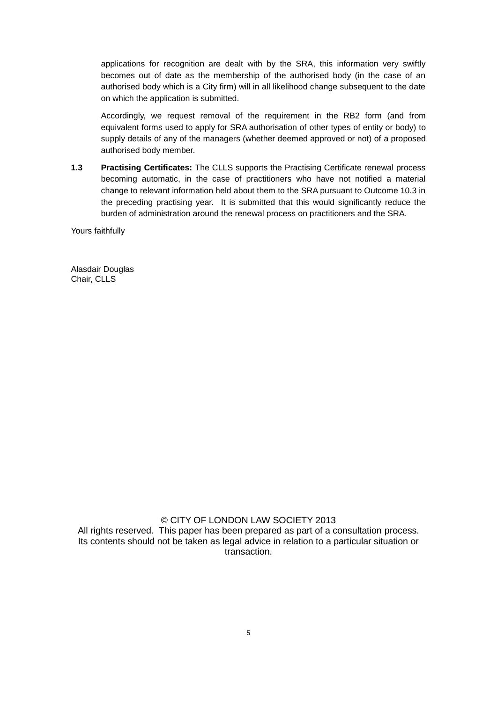applications for recognition are dealt with by the SRA, this information very swiftly becomes out of date as the membership of the authorised body (in the case of an authorised body which is a City firm) will in all likelihood change subsequent to the date on which the application is submitted.

Accordingly, we request removal of the requirement in the RB2 form (and from equivalent forms used to apply for SRA authorisation of other types of entity or body) to supply details of any of the managers (whether deemed approved or not) of a proposed authorised body member.

**1.3 Practising Certificates:** The CLLS supports the Practising Certificate renewal process becoming automatic, in the case of practitioners who have not notified a material change to relevant information held about them to the SRA pursuant to Outcome 10.3 in the preceding practising year. It is submitted that this would significantly reduce the burden of administration around the renewal process on practitioners and the SRA.

Yours faithfully

Alasdair Douglas Chair, CLLS

### © CITY OF LONDON LAW SOCIETY 2013

All rights reserved. This paper has been prepared as part of a consultation process. Its contents should not be taken as legal advice in relation to a particular situation or transaction.